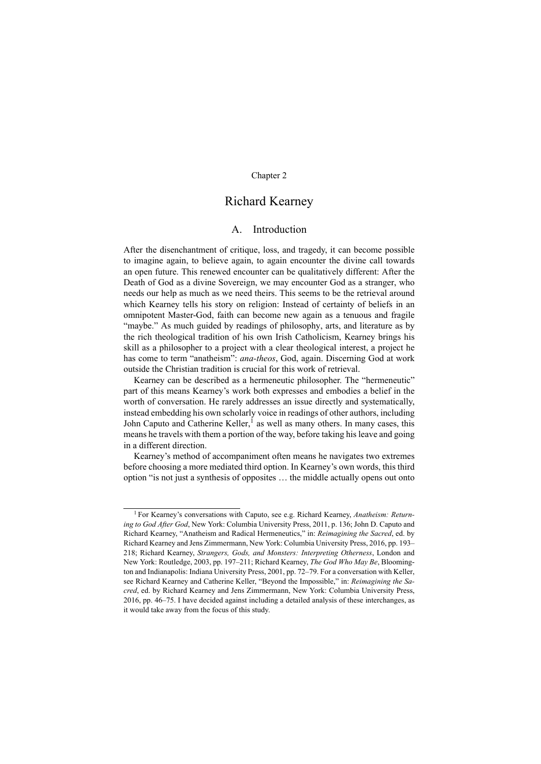# Chapter 2

# Richard Kearney

# A. Introduction

After the disenchantment of critique, loss, and tragedy, it can become possible to imagine again, to believe again, to again encounter the divine call towards an open future. This renewed encounter can be qualitatively different: After the Death of God as a divine Sovereign, we may encounter God as a stranger, who needs our help as much as we need theirs. This seems to be the retrieval around which Kearney tells his story on religion: Instead of certainty of beliefs in an omnipotent Master-God, faith can become new again as a tenuous and fragile "maybe." As much guided by readings of philosophy, arts, and literature as by the rich theological tradition of his own Irish Catholicism, Kearney brings his skill as a philosopher to a project with a clear theological interest, a project he has come to term "anatheism": *ana-theos*, God, again. Discerning God at work outside the Christian tradition is crucial for this work of retrieval.

Kearney can be described as a hermeneutic philosopher. The "hermeneutic" part of this means Kearney's work both expresses and embodies a belief in the worth of conversation. He rarely addresses an issue directly and systematically, instead embedding his own scholarly voice in readings of other authors, including John Caputo and Catherine Keller,<sup>1</sup> as well as many others. In many cases, this means he travels with them a portion of the way, before taking his leave and going in a different direction.

Kearney's method of accompaniment often means he navigates two extremes before choosing a more mediated third option. In Kearney's own words, this third option "is not just a synthesis of opposites … the middle actually opens out onto

<sup>1</sup> For Kearney's conversations with Caputo, see e.g. Richard Kearney, *Anatheism: Returning to God After God*, New York: Columbia University Press, 2011, p. 136; John D. Caputo and Richard Kearney, "Anatheism and Radical Hermeneutics," in: *Reimagining the Sacred*, ed. by Richard Kearney and Jens Zimmermann, New York: Columbia University Press, 2016, pp. 193– 218; Richard Kearney, *Strangers, Gods, and Monsters: Interpreting Otherness*, London and New York: Routledge, 2003, pp. 197–211; Richard Kearney, *The God Who May Be*, Bloomington and Indianapolis: Indiana University Press, 2001, pp. 72–79. For a conversation with Keller, see Richard Kearney and Catherine Keller, "Beyond the Impossible," in: *Reimagining the Sacred*, ed. by Richard Kearney and Jens Zimmermann, New York: Columbia University Press, 2016, pp. 46–75. I have decided against including a detailed analysis of these interchanges, as it would take away from the focus of this study.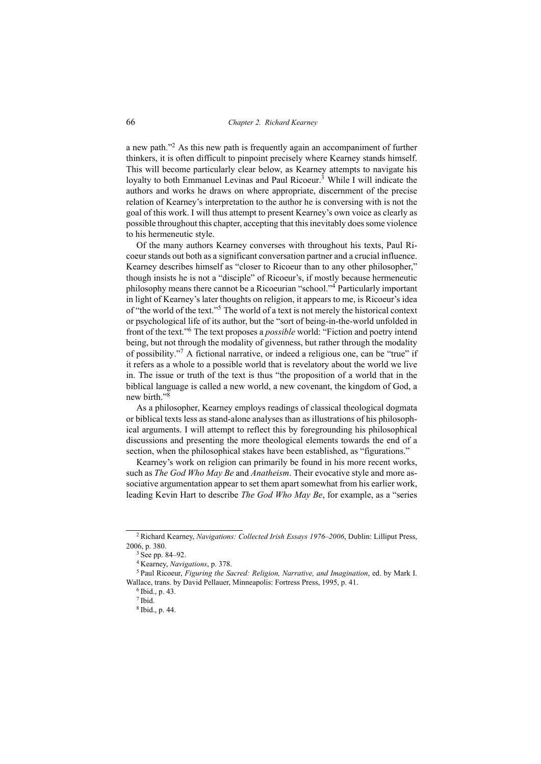a new path."<sup>2</sup> As this new path is frequently again an accompaniment of further thinkers, it is often difficult to pinpoint precisely where Kearney stands himself. This will become particularly clear below, as Kearney attempts to navigate his loyalty to both Emmanuel Levinas and Paul Ricoeur.<sup>3</sup> While I will indicate the authors and works he draws on where appropriate, discernment of the precise relation of Kearney's interpretation to the author he is conversing with is not the goal of this work. I will thus attempt to present Kearney's own voice as clearly as possible throughout this chapter, accepting that this inevitably does some violence to his hermeneutic style.

Of the many authors Kearney converses with throughout his texts, Paul Ricoeur stands out both as a significant conversation partner and a crucial influence. Kearney describes himself as "closer to Ricoeur than to any other philosopher," though insists he is not a "disciple" of Ricoeur's, if mostly because hermeneutic philosophy means there cannot be a Ricoeurian "school."<sup>4</sup> Particularly important in light of Kearney's later thoughts on religion, it appears to me, is Ricoeur's idea of "the world of the text."<sup>5</sup> The world of a text is not merely the historical context or psychological life of its author, but the "sort of being-in-the-world unfolded in front of the text."<sup>6</sup> The text proposes a *possible* world: "Fiction and poetry intend being, but not through the modality of givenness, but rather through the modality of possibility."<sup>7</sup> A fictional narrative, or indeed a religious one, can be "true" if it refers as a whole to a possible world that is revelatory about the world we live in. The issue or truth of the text is thus "the proposition of a world that in the biblical language is called a new world, a new covenant, the kingdom of God, a new birth."<sup>8</sup>

As a philosopher, Kearney employs readings of classical theological dogmata or biblical texts less as stand-alone analyses than as illustrations of his philosophical arguments. I will attempt to reflect this by foregrounding his philosophical discussions and presenting the more theological elements towards the end of a section, when the philosophical stakes have been established, as "figurations."

Kearney's work on religion can primarily be found in his more recent works, such as *The God Who May Be* and *Anatheism*. Their evocative style and more associative argumentation appear to set them apart somewhat from his earlier work, leading Kevin Hart to describe *The God Who May Be*, for example, as a "series

<sup>2</sup> Richard Kearney, *Navigations: Collected Irish Essays 1976–2006*, Dublin: Lilliput Press, 2006, p. 380.

<sup>3</sup> See pp. 84–92.

<sup>4</sup> Kearney, *Navigations*, p. 378.

<sup>5</sup> Paul Ricoeur, *Figuring the Sacred: Religion, Narrative, and Imagination*, ed. by Mark I. Wallace, trans. by David Pellauer, Minneapolis: Fortress Press, 1995, p. 41.

<sup>6</sup> Ibid., p. 43.

<sup>7</sup> Ibid.

<sup>8</sup> Ibid., p. 44.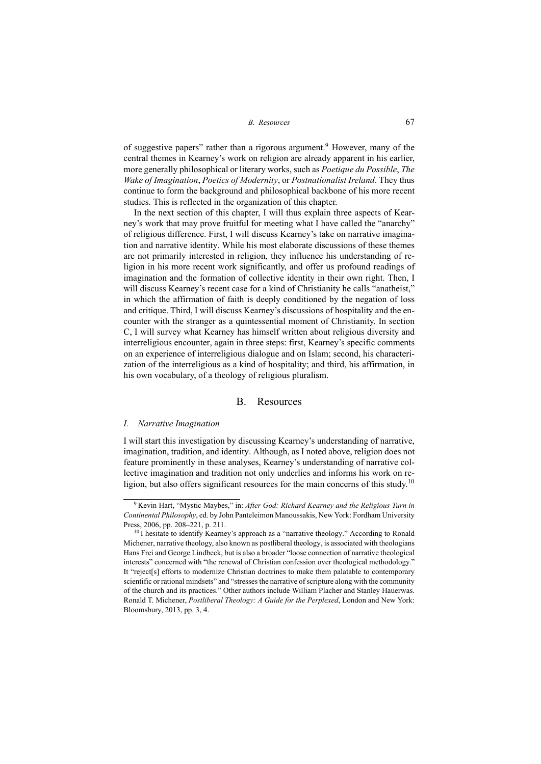of suggestive papers" rather than a rigorous argument.<sup>9</sup> However, many of the central themes in Kearney's work on religion are already apparent in his earlier, more generally philosophical or literary works, such as *Poetique du Possible*, *The Wake of Imagination*, *Poetics of Modernity*, or *Postnationalist Ireland*. They thus continue to form the background and philosophical backbone of his more recent studies. This is reflected in the organization of this chapter.

In the next section of this chapter, I will thus explain three aspects of Kearney's work that may prove fruitful for meeting what I have called the "anarchy" of religious difference. First, I will discuss Kearney's take on narrative imagination and narrative identity. While his most elaborate discussions of these themes are not primarily interested in religion, they influence his understanding of religion in his more recent work significantly, and offer us profound readings of imagination and the formation of collective identity in their own right. Then, I will discuss Kearney's recent case for a kind of Christianity he calls "anatheist," in which the affirmation of faith is deeply conditioned by the negation of loss and critique. Third, I will discuss Kearney's discussions of hospitality and the encounter with the stranger as a quintessential moment of Christianity. In section C, I will survey what Kearney has himself written about religious diversity and interreligious encounter, again in three steps: first, Kearney's specific comments on an experience of interreligious dialogue and on Islam; second, his characterization of the interreligious as a kind of hospitality; and third, his affirmation, in his own vocabulary, of a theology of religious pluralism.

#### B. Resources

#### *I. Narrative Imagination*

I will start this investigation by discussing Kearney's understanding of narrative, imagination, tradition, and identity. Although, as I noted above, religion does not feature prominently in these analyses, Kearney's understanding of narrative collective imagination and tradition not only underlies and informs his work on religion, but also offers significant resources for the main concerns of this study.<sup>10</sup>

<sup>9</sup> Kevin Hart, "Mystic Maybes," in: *After God: Richard Kearney and the Religious Turn in Continental Philosophy*, ed. by John Panteleimon Manoussakis, New York: Fordham University Press, 2006, pp. 208–221, p. 211.

<sup>&</sup>lt;sup>10</sup> I hesitate to identify Kearney's approach as a "narrative theology." According to Ronald Michener, narrative theology, also known as postliberal theology, is associated with theologians Hans Frei and George Lindbeck, but is also a broader "loose connection of narrative theological interests" concerned with "the renewal of Christian confession over theological methodology." It "reject[s] efforts to modernize Christian doctrines to make them palatable to contemporary scientific or rational mindsets" and "stresses the narrative of scripture along with the community of the church and its practices." Other authors include William Placher and Stanley Hauerwas. Ronald T. Michener, *Postliberal Theology: A Guide for the Perplexed*, London and New York: Bloomsbury, 2013, pp. 3, 4.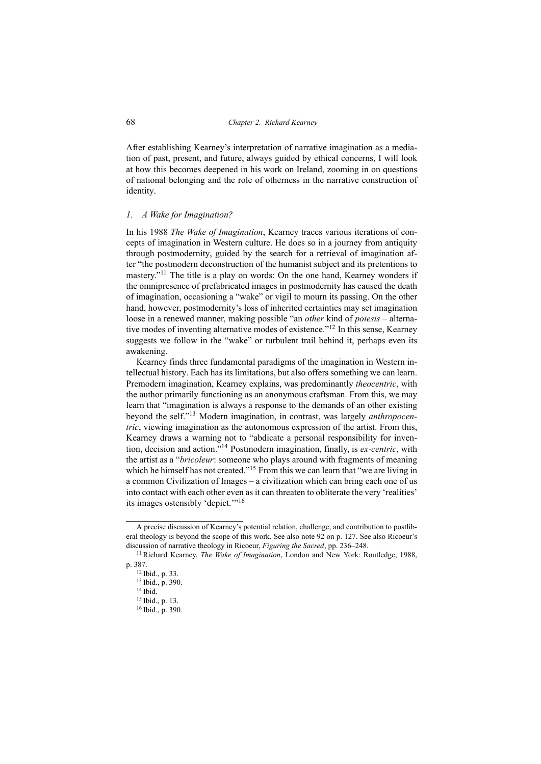After establishing Kearney's interpretation of narrative imagination as a mediation of past, present, and future, always guided by ethical concerns, I will look at how this becomes deepened in his work on Ireland, zooming in on questions of national belonging and the role of otherness in the narrative construction of identity.

### *1. A Wake for Imagination?*

In his 1988 *The Wake of Imagination*, Kearney traces various iterations of concepts of imagination in Western culture. He does so in a journey from antiquity through postmodernity, guided by the search for a retrieval of imagination after "the postmodern deconstruction of the humanist subject and its pretentions to mastery."<sup>11</sup> The title is a play on words: On the one hand, Kearney wonders if the omnipresence of prefabricated images in postmodernity has caused the death of imagination, occasioning a "wake" or vigil to mourn its passing. On the other hand, however, postmodernity's loss of inherited certainties may set imagination loose in a renewed manner, making possible "an *other* kind of *poiesis* – alternative modes of inventing alternative modes of existence."<sup>12</sup> In this sense, Kearney suggests we follow in the "wake" or turbulent trail behind it, perhaps even its awakening.

Kearney finds three fundamental paradigms of the imagination in Western intellectual history. Each has its limitations, but also offers something we can learn. Premodern imagination, Kearney explains, was predominantly *theocentric*, with the author primarily functioning as an anonymous craftsman. From this, we may learn that "imagination is always a response to the demands of an other existing beyond the self."<sup>13</sup> Modern imagination, in contrast, was largely *anthropocentric*, viewing imagination as the autonomous expression of the artist. From this, Kearney draws a warning not to "abdicate a personal responsibility for invention, decision and action."<sup>14</sup> Postmodern imagination, finally, is *ex-centric*, with the artist as a "*bricoleur*: someone who plays around with fragments of meaning which he himself has not created."<sup>15</sup> From this we can learn that "we are living in a common Civilization of Images – a civilization which can bring each one of us into contact with each other even as it can threaten to obliterate the very 'realities' its images ostensibly 'depict.'"<sup>16</sup>

A precise discussion of Kearney's potential relation, challenge, and contribution to postliberal theology is beyond the scope of this work. See also note 92 on p. 127. See also Ricoeur's discussion of narrative theology in Ricoeur, *Figuring the Sacred*, pp. 236–248.

<sup>11</sup> Richard Kearney, *The Wake of Imagination*, London and New York: Routledge, 1988, p. 387.

<sup>12</sup> Ibid., p. 33.

<sup>13</sup> Ibid., p. 390.

 $14$  Ibid.

<sup>15</sup> Ibid., p. 13.

<sup>16</sup> Ibid., p. 390.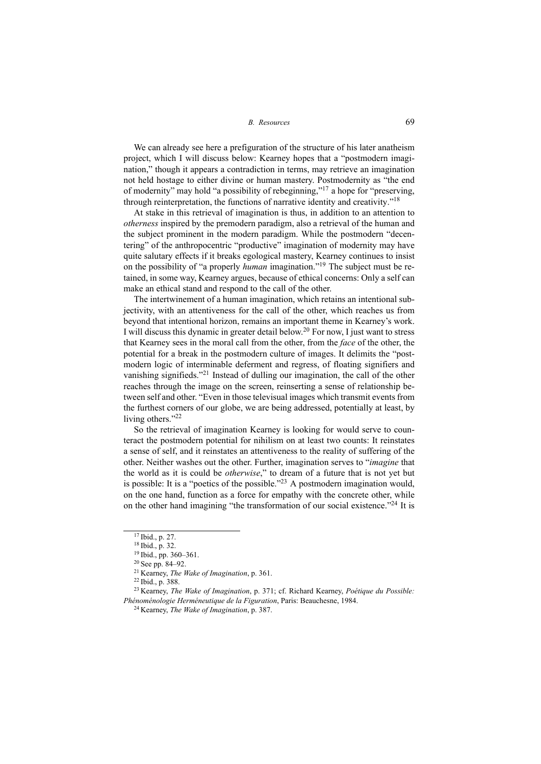We can already see here a prefiguration of the structure of his later anatheism project, which I will discuss below: Kearney hopes that a "postmodern imagination," though it appears a contradiction in terms, may retrieve an imagination not held hostage to either divine or human mastery. Postmodernity as "the end of modernity" may hold "a possibility of rebeginning,"<sup>17</sup> a hope for "preserving, through reinterpretation, the functions of narrative identity and creativity."<sup>18</sup>

At stake in this retrieval of imagination is thus, in addition to an attention to *otherness* inspired by the premodern paradigm, also a retrieval of the human and the subject prominent in the modern paradigm. While the postmodern "decentering" of the anthropocentric "productive" imagination of modernity may have quite salutary effects if it breaks egological mastery, Kearney continues to insist on the possibility of "a properly *human* imagination."<sup>19</sup> The subject must be retained, in some way, Kearney argues, because of ethical concerns: Only a self can make an ethical stand and respond to the call of the other.

The intertwinement of a human imagination, which retains an intentional subjectivity, with an attentiveness for the call of the other, which reaches us from beyond that intentional horizon, remains an important theme in Kearney's work. I will discuss this dynamic in greater detail below.<sup>20</sup> For now, I just want to stress that Kearney sees in the moral call from the other, from the *face* of the other, the potential for a break in the postmodern culture of images. It delimits the "postmodern logic of interminable deferment and regress, of floating signifiers and vanishing signifieds."<sup>21</sup> Instead of dulling our imagination, the call of the other reaches through the image on the screen, reinserting a sense of relationship between self and other. "Even in those televisual images which transmit events from the furthest corners of our globe, we are being addressed, potentially at least, by living others."<sup>22</sup>

So the retrieval of imagination Kearney is looking for would serve to counteract the postmodern potential for nihilism on at least two counts: It reinstates a sense of self, and it reinstates an attentiveness to the reality of suffering of the other. Neither washes out the other. Further, imagination serves to "*imagine* that the world as it is could be *otherwise*," to dream of a future that is not yet but is possible: It is a "poetics of the possible."<sup>23</sup> A postmodern imagination would, on the one hand, function as a force for empathy with the concrete other, while on the other hand imagining "the transformation of our social existence."<sup>24</sup> It is

<sup>22</sup> Ibid., p. 388.

<sup>17</sup> Ibid., p. 27.

<sup>18</sup> Ibid., p. 32.

<sup>19</sup> Ibid., pp. 360–361.

<sup>20</sup> See pp. 84–92.

<sup>21</sup> Kearney, *The Wake of Imagination*, p. 361.

<sup>23</sup> Kearney, *The Wake of Imagination*, p. 371; cf. Richard Kearney, *Poétique du Possible: Phénoménologie Herméneutique de la Figuration*, Paris: Beauchesne, 1984.

<sup>24</sup> Kearney, *The Wake of Imagination*, p. 387.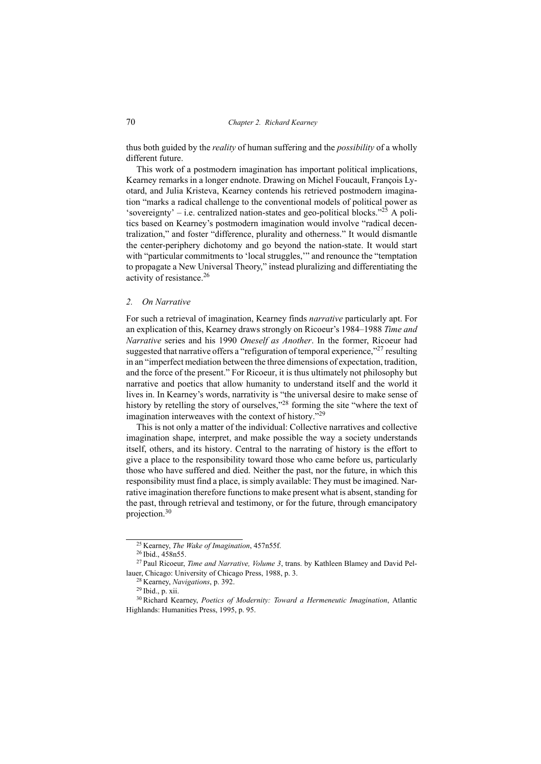thus both guided by the *reality* of human suffering and the *possibility* of a wholly different future.

This work of a postmodern imagination has important political implications, Kearney remarks in a longer endnote. Drawing on Michel Foucault, François Lyotard, and Julia Kristeva, Kearney contends his retrieved postmodern imagination "marks a radical challenge to the conventional models of political power as 'sovereignty' – i.e. centralized nation-states and geo-political blocks. $^{225}$  A politics based on Kearney's postmodern imagination would involve "radical decentralization," and foster "difference, plurality and otherness." It would dismantle the center-periphery dichotomy and go beyond the nation-state. It would start with "particular commitments to 'local struggles," and renounce the "temptation to propagate a New Universal Theory," instead pluralizing and differentiating the activity of resistance.<sup>26</sup>

## *2. On Narrative*

For such a retrieval of imagination, Kearney finds *narrative* particularly apt. For an explication of this, Kearney draws strongly on Ricoeur's 1984–1988 *Time and Narrative* series and his 1990 *Oneself as Another*. In the former, Ricoeur had suggested that narrative offers a "refiguration of temporal experience,"<sup>27</sup> resulting in an "imperfect mediation between the three dimensions of expectation, tradition, and the force of the present." For Ricoeur, it is thus ultimately not philosophy but narrative and poetics that allow humanity to understand itself and the world it lives in. In Kearney's words, narrativity is "the universal desire to make sense of history by retelling the story of ourselves,"<sup>28</sup> forming the site "where the text of imagination interweaves with the context of history."<sup>29</sup>

This is not only a matter of the individual: Collective narratives and collective imagination shape, interpret, and make possible the way a society understands itself, others, and its history. Central to the narrating of history is the effort to give a place to the responsibility toward those who came before us, particularly those who have suffered and died. Neither the past, nor the future, in which this responsibility must find a place, is simply available: They must be imagined. Narrative imagination therefore functions to make present what is absent, standing for the past, through retrieval and testimony, or for the future, through emancipatory projection.<sup>30</sup>

<sup>25</sup> Kearney, *The Wake of Imagination*, 457n55f.

<sup>26</sup> Ibid., 458n55.

<sup>27</sup> Paul Ricoeur, *Time and Narrative, Volume 3*, trans. by Kathleen Blamey and David Pellauer, Chicago: University of Chicago Press, 1988, p. 3.

<sup>28</sup> Kearney, *Navigations*, p. 392.

<sup>29</sup> Ibid., p. xii.

<sup>30</sup> Richard Kearney, *Poetics of Modernity: Toward a Hermeneutic Imagination*, Atlantic Highlands: Humanities Press, 1995, p. 95.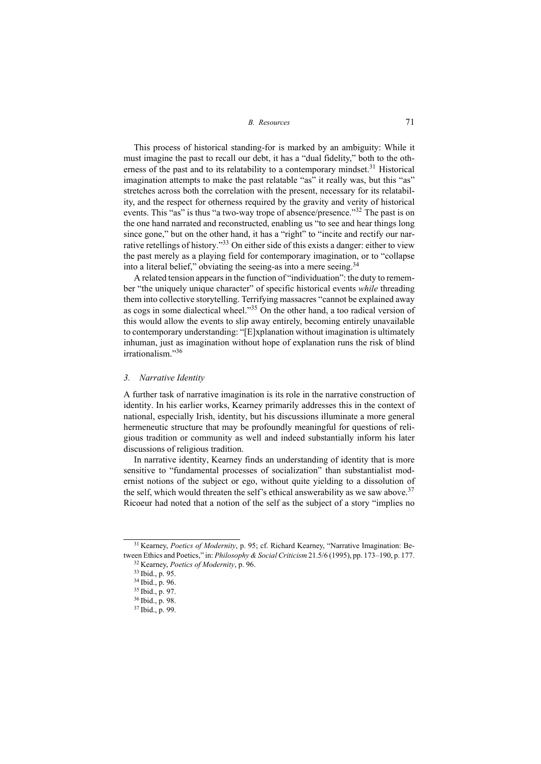This process of historical standing-for is marked by an ambiguity: While it must imagine the past to recall our debt, it has a "dual fidelity," both to the otherness of the past and to its relatability to a contemporary mindset.<sup>31</sup> Historical imagination attempts to make the past relatable "as" it really was, but this "as" stretches across both the correlation with the present, necessary for its relatability, and the respect for otherness required by the gravity and verity of historical events. This "as" is thus "a two-way trope of absence/presence."<sup>32</sup> The past is on the one hand narrated and reconstructed, enabling us "to see and hear things long since gone," but on the other hand, it has a "right" to "incite and rectify our narrative retellings of history."<sup>33</sup> On either side of this exists a danger: either to view the past merely as a playing field for contemporary imagination, or to "collapse into a literal belief," obviating the seeing-as into a mere seeing.<sup>34</sup>

A related tension appears in the function of "individuation": the duty to remember "the uniquely unique character" of specific historical events *while* threading them into collective storytelling. Terrifying massacres "cannot be explained away as cogs in some dialectical wheel."<sup>35</sup> On the other hand, a too radical version of this would allow the events to slip away entirely, becoming entirely unavailable to contemporary understanding: "[E]xplanation without imagination is ultimately inhuman, just as imagination without hope of explanation runs the risk of blind irrationalism."<sup>36</sup>

#### *3. Narrative Identity*

A further task of narrative imagination is its role in the narrative construction of identity. In his earlier works, Kearney primarily addresses this in the context of national, especially Irish, identity, but his discussions illuminate a more general hermeneutic structure that may be profoundly meaningful for questions of religious tradition or community as well and indeed substantially inform his later discussions of religious tradition.

In narrative identity, Kearney finds an understanding of identity that is more sensitive to "fundamental processes of socialization" than substantialist modernist notions of the subject or ego, without quite yielding to a dissolution of the self, which would threaten the self's ethical answerability as we saw above.<sup>37</sup> Ricoeur had noted that a notion of the self as the subject of a story "implies no

<sup>31</sup> Kearney, *Poetics of Modernity*, p. 95; cf. Richard Kearney, "Narrative Imagination: Between Ethics and Poetics," in: *Philosophy & Social Criticism* 21.5/6 (1995), pp. 173–190, p. 177. <sup>32</sup> Kearney, *Poetics of Modernity*, p. 96.

<sup>33</sup> Ibid., p. 95.

<sup>34</sup> Ibid., p. 96.

<sup>35</sup> Ibid., p. 97.

<sup>36</sup> Ibid., p. 98.

<sup>37</sup> Ibid., p. 99.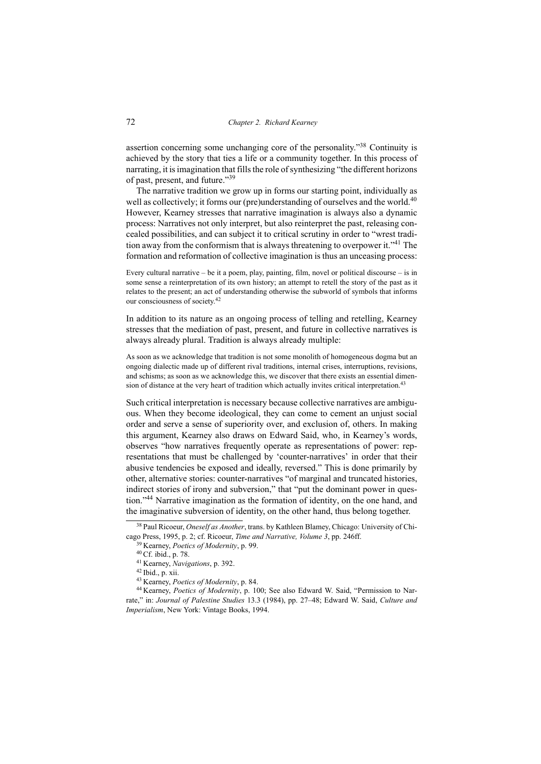assertion concerning some unchanging core of the personality."<sup>38</sup> Continuity is achieved by the story that ties a life or a community together. In this process of narrating, it is imagination that fills the role of synthesizing "the different horizons of past, present, and future."<sup>39</sup>

The narrative tradition we grow up in forms our starting point, individually as well as collectively; it forms our (pre)understanding of ourselves and the world.<sup>40</sup> However, Kearney stresses that narrative imagination is always also a dynamic process: Narratives not only interpret, but also reinterpret the past, releasing concealed possibilities, and can subject it to critical scrutiny in order to "wrest tradition away from the conformism that is always threatening to overpower it."<sup>41</sup> The formation and reformation of collective imagination is thus an unceasing process:

Every cultural narrative – be it a poem, play, painting, film, novel or political discourse – is in some sense a reinterpretation of its own history; an attempt to retell the story of the past as it relates to the present; an act of understanding otherwise the subworld of symbols that informs our consciousness of society.<sup>42</sup>

In addition to its nature as an ongoing process of telling and retelling, Kearney stresses that the mediation of past, present, and future in collective narratives is always already plural. Tradition is always already multiple:

As soon as we acknowledge that tradition is not some monolith of homogeneous dogma but an ongoing dialectic made up of different rival traditions, internal crises, interruptions, revisions, and schisms; as soon as we acknowledge this, we discover that there exists an essential dimension of distance at the very heart of tradition which actually invites critical interpretation.<sup>43</sup>

Such critical interpretation is necessary because collective narratives are ambiguous. When they become ideological, they can come to cement an unjust social order and serve a sense of superiority over, and exclusion of, others. In making this argument, Kearney also draws on Edward Said, who, in Kearney's words, observes "how narratives frequently operate as representations of power: representations that must be challenged by 'counter-narratives' in order that their abusive tendencies be exposed and ideally, reversed." This is done primarily by other, alternative stories: counter-narratives "of marginal and truncated histories, indirect stories of irony and subversion," that "put the dominant power in question."<sup>44</sup> Narrative imagination as the formation of identity, on the one hand, and the imaginative subversion of identity, on the other hand, thus belong together.

<sup>38</sup> Paul Ricoeur, *Oneself as Another*, trans. by Kathleen Blamey, Chicago: University of Chicago Press, 1995, p. 2; cf. Ricoeur, *Time and Narrative, Volume 3*, pp. 246ff.

<sup>39</sup> Kearney, *Poetics of Modernity*, p. 99.

<sup>40</sup> Cf. ibid., p. 78.

<sup>41</sup> Kearney, *Navigations*, p. 392.

 $42$  Ibid., p. xii.

<sup>43</sup> Kearney, *Poetics of Modernity*, p. 84.

<sup>44</sup> Kearney, *Poetics of Modernity*, p. 100; See also Edward W. Said, "Permission to Narrate," in: *Journal of Palestine Studies* 13.3 (1984), pp. 27–48; Edward W. Said, *Culture and Imperialism*, New York: Vintage Books, 1994.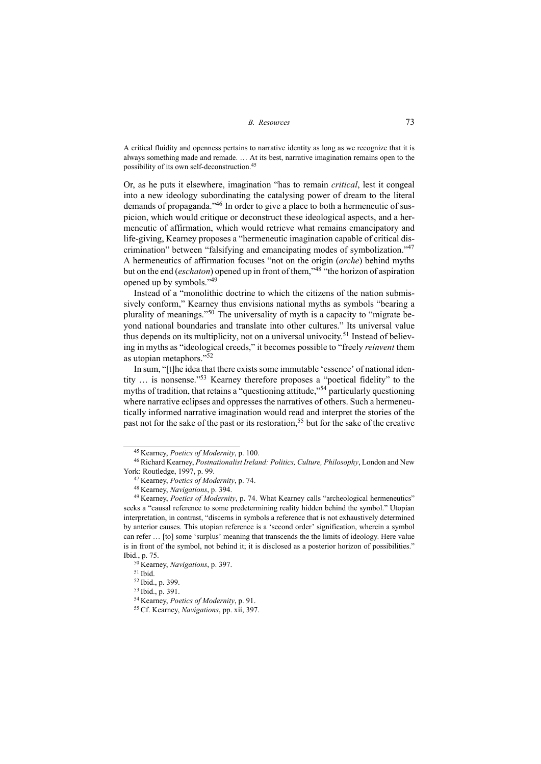A critical fluidity and openness pertains to narrative identity as long as we recognize that it is always something made and remade. … At its best, narrative imagination remains open to the possibility of its own self-deconstruction.<sup>45</sup>

Or, as he puts it elsewhere, imagination "has to remain *critical*, lest it congeal into a new ideology subordinating the catalysing power of dream to the literal demands of propaganda."<sup>46</sup> In order to give a place to both a hermeneutic of suspicion, which would critique or deconstruct these ideological aspects, and a hermeneutic of affirmation, which would retrieve what remains emancipatory and life-giving, Kearney proposes a "hermeneutic imagination capable of critical discrimination" between "falsifying and emancipating modes of symbolization."<sup>47</sup> A hermeneutics of affirmation focuses "not on the origin (*arche*) behind myths but on the end (*eschaton*) opened up in front of them,"<sup>48</sup> "the horizon of aspiration opened up by symbols."<sup>49</sup>

Instead of a "monolithic doctrine to which the citizens of the nation submissively conform," Kearney thus envisions national myths as symbols "bearing a plurality of meanings."<sup>50</sup> The universality of myth is a capacity to "migrate beyond national boundaries and translate into other cultures." Its universal value thus depends on its multiplicity, not on a universal univocity.<sup>51</sup> Instead of believing in myths as "ideological creeds," it becomes possible to "freely *reinvent* them as utopian metaphors."<sup>52</sup>

In sum, "[t]he idea that there exists some immutable 'essence' of national identity … is nonsense."<sup>53</sup> Kearney therefore proposes a "poetical fidelity" to the myths of tradition, that retains a "questioning attitude,"<sup>54</sup> particularly questioning where narrative eclipses and oppresses the narratives of others. Such a hermeneutically informed narrative imagination would read and interpret the stories of the past not for the sake of the past or its restoration,<sup>55</sup> but for the sake of the creative

<sup>45</sup> Kearney, *Poetics of Modernity*, p. 100.

<sup>46</sup> Richard Kearney, *Postnationalist Ireland: Politics, Culture, Philosophy*, London and New York: Routledge, 1997, p. 99.

<sup>47</sup> Kearney, *Poetics of Modernity*, p. 74.

<sup>48</sup> Kearney, *Navigations*, p. 394.

<sup>49</sup> Kearney, *Poetics of Modernity*, p. 74. What Kearney calls "archeological hermeneutics" seeks a "causal reference to some predetermining reality hidden behind the symbol." Utopian interpretation, in contrast, "discerns in symbols a reference that is not exhaustively determined by anterior causes. This utopian reference is a 'second order' signification, wherein a symbol can refer … [to] some 'surplus' meaning that transcends the the limits of ideology. Here value is in front of the symbol, not behind it; it is disclosed as a posterior horizon of possibilities." Ibid., p. 75.

<sup>50</sup> Kearney, *Navigations*, p. 397.

<sup>51</sup> Ibid.

<sup>52</sup> Ibid., p. 399.

<sup>53</sup> Ibid., p. 391.

<sup>54</sup> Kearney, *Poetics of Modernity*, p. 91.

<sup>55</sup> Cf. Kearney, *Navigations*, pp. xii, 397.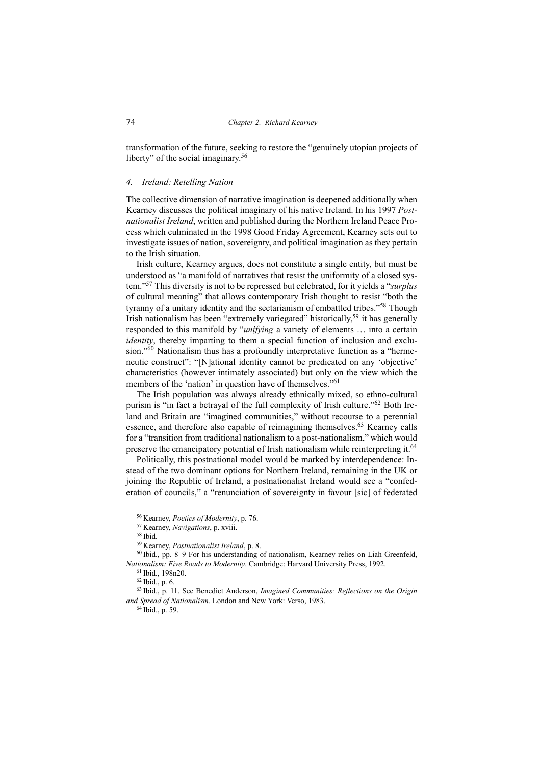transformation of the future, seeking to restore the "genuinely utopian projects of liberty" of the social imaginary.<sup>56</sup>

#### *4. Ireland: Retelling Nation*

The collective dimension of narrative imagination is deepened additionally when Kearney discusses the political imaginary of his native Ireland. In his 1997 *Postnationalist Ireland*, written and published during the Northern Ireland Peace Process which culminated in the 1998 Good Friday Agreement, Kearney sets out to investigate issues of nation, sovereignty, and political imagination as they pertain to the Irish situation.

Irish culture, Kearney argues, does not constitute a single entity, but must be understood as "a manifold of narratives that resist the uniformity of a closed system."<sup>57</sup> This diversity is not to be repressed but celebrated, for it yields a "*surplus* of cultural meaning" that allows contemporary Irish thought to resist "both the tyranny of a unitary identity and the sectarianism of embattled tribes."<sup>58</sup> Though Irish nationalism has been "extremely variegated" historically,<sup>59</sup> it has generally responded to this manifold by "*unifying* a variety of elements … into a certain *identity*, thereby imparting to them a special function of inclusion and exclusion."<sup>60</sup> Nationalism thus has a profoundly interpretative function as a "hermeneutic construct": "[N]ational identity cannot be predicated on any 'objective' characteristics (however intimately associated) but only on the view which the members of the 'nation' in question have of themselves."<sup>61</sup>

The Irish population was always already ethnically mixed, so ethno-cultural purism is "in fact a betrayal of the full complexity of Irish culture."<sup>62</sup> Both Ireland and Britain are "imagined communities," without recourse to a perennial essence, and therefore also capable of reimagining themselves.<sup>63</sup> Kearney calls for a "transition from traditional nationalism to a post-nationalism," which would preserve the emancipatory potential of Irish nationalism while reinterpreting it.<sup>64</sup>

Politically, this postnational model would be marked by interdependence: Instead of the two dominant options for Northern Ireland, remaining in the UK or joining the Republic of Ireland, a postnationalist Ireland would see a "confederation of councils," a "renunciation of sovereignty in favour [sic] of federated

<sup>56</sup> Kearney, *Poetics of Modernity*, p. 76.

<sup>57</sup> Kearney, *Navigations*, p. xviii.

<sup>58</sup> Ibid.

<sup>59</sup> Kearney, *Postnationalist Ireland*, p. 8.

<sup>60</sup> Ibid., pp. 8–9 For his understanding of nationalism, Kearney relies on Liah Greenfeld, *Nationalism: Five Roads to Modernity*. Cambridge: Harvard University Press, 1992.

<sup>61</sup> Ibid., 198n20.

<sup>62</sup> Ibid., p. 6.

<sup>63</sup> Ibid., p. 11. See Benedict Anderson, *Imagined Communities: Reflections on the Origin and Spread of Nationalism*. London and New York: Verso, 1983.

<sup>64</sup> Ibid., p. 59.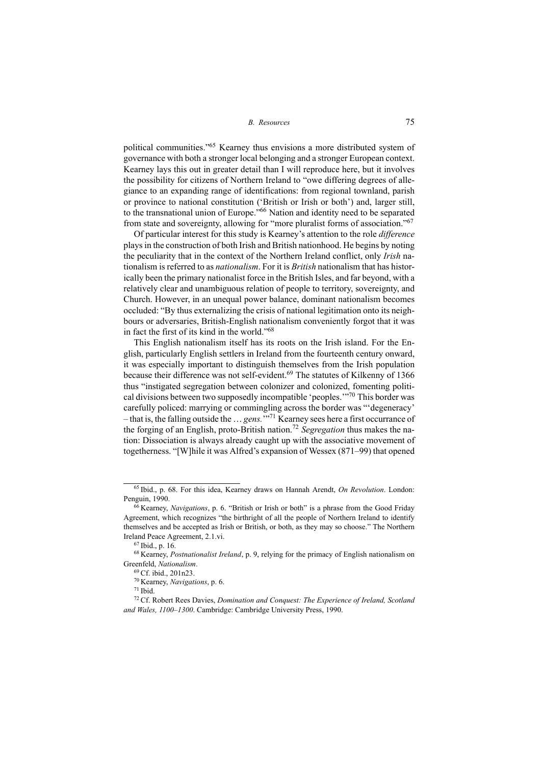political communities."<sup>65</sup> Kearney thus envisions a more distributed system of governance with both a stronger local belonging and a stronger European context. Kearney lays this out in greater detail than I will reproduce here, but it involves the possibility for citizens of Northern Ireland to "owe differing degrees of allegiance to an expanding range of identifications: from regional townland, parish or province to national constitution ('British or Irish or both') and, larger still, to the transnational union of Europe."<sup>66</sup> Nation and identity need to be separated from state and sovereignty, allowing for "more pluralist forms of association."<sup>67</sup>

Of particular interest for this study is Kearney's attention to the role *difference* plays in the construction of both Irish and British nationhood. He begins by noting the peculiarity that in the context of the Northern Ireland conflict, only *Irish* nationalism is referred to as *nationalism*. For it is *British* nationalism that has historically been the primary nationalist force in the British Isles, and far beyond, with a relatively clear and unambiguous relation of people to territory, sovereignty, and Church. However, in an unequal power balance, dominant nationalism becomes occluded: "By thus externalizing the crisis of national legitimation onto its neighbours or adversaries, British-English nationalism conveniently forgot that it was in fact the first of its kind in the world."<sup>68</sup>

This English nationalism itself has its roots on the Irish island. For the English, particularly English settlers in Ireland from the fourteenth century onward, it was especially important to distinguish themselves from the Irish population because their difference was not self-evident.<sup>69</sup> The statutes of Kilkenny of 1366 thus "instigated segregation between colonizer and colonized, fomenting political divisions between two supposedly incompatible 'peoples.'"<sup>70</sup> This border was carefully policed: marrying or commingling across the border was "'degeneracy' – that is, the falling outside the … *gens.*'" <sup>71</sup> Kearney sees here a first occurrance of the forging of an English, proto-British nation.<sup>72</sup> *Segregation* thus makes the nation: Dissociation is always already caught up with the associative movement of togetherness. "[W]hile it was Alfred's expansion of Wessex (871–99) that opened

<sup>65</sup> Ibid., p. 68. For this idea, Kearney draws on Hannah Arendt, *On Revolution*. London: Penguin, 1990.

<sup>66</sup> Kearney, *Navigations*, p. 6. "British or Irish or both" is a phrase from the Good Friday Agreement, which recognizes "the birthright of all the people of Northern Ireland to identify themselves and be accepted as Irish or British, or both, as they may so choose." The Northern Ireland Peace Agreement, 2.1.vi.

<sup>67</sup> Ibid., p. 16.

<sup>68</sup> Kearney, *Postnationalist Ireland*, p. 9, relying for the primacy of English nationalism on Greenfeld, *Nationalism*.

<sup>69</sup> Cf. ibid., 201n23.

<sup>70</sup> Kearney, *Navigations*, p. 6.

<sup>71</sup> Ibid.

<sup>72</sup> Cf. Robert Rees Davies, *Domination and Conquest: The Experience of Ireland, Scotland and Wales, 1100–1300*. Cambridge: Cambridge University Press, 1990.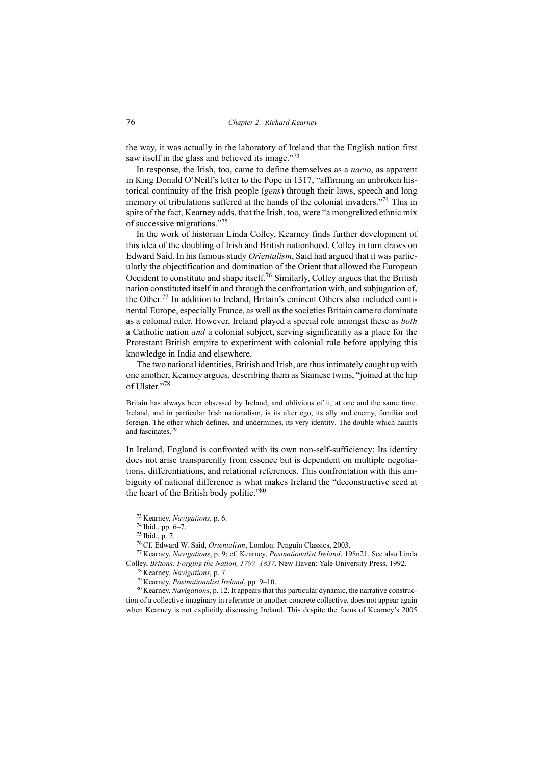the way, it was actually in the laboratory of Ireland that the English nation first saw itself in the glass and believed its image."<sup>73</sup>

In response, the Irish, too, came to define themselves as a *nacio*, as apparent in King Donald O'Neill's letter to the Pope in 1317, "affirming an unbroken historical continuity of the Irish people (*gens*) through their laws, speech and long memory of tribulations suffered at the hands of the colonial invaders."<sup>74</sup> This in spite of the fact, Kearney adds, that the Irish, too, were "a mongrelized ethnic mix of successive migrations."<sup>75</sup>

In the work of historian Linda Colley, Kearney finds further development of this idea of the doubling of Irish and British nationhood. Colley in turn draws on Edward Said. In his famous study *Orientalism*, Said had argued that it was particularly the objectification and domination of the Orient that allowed the European Occident to constitute and shape itself.<sup>76</sup> Similarly, Colley argues that the British nation constituted itself in and through the confrontation with, and subjugation of, the Other.<sup>77</sup> In addition to Ireland, Britain's eminent Others also included continental Europe, especially France, as well as the societies Britain came to dominate as a colonial ruler. However, Ireland played a special role amongst these as *both* a Catholic nation *and* a colonial subject, serving significantly as a place for the Protestant British empire to experiment with colonial rule before applying this knowledge in India and elsewhere.

The two national identities, British and Irish, are thus intimately caught up with one another, Kearney argues, describing them as Siamese twins, "joined at the hip of Ulster."<sup>78</sup>

Britain has always been obsessed by Ireland, and oblivious of it, at one and the same time. Ireland, and in particular Irish nationalism, is its alter ego, its ally and enemy, familiar and foreign. The other which defines, and undermines, its very identity. The double which haunts and fascinates.<sup>79</sup>

In Ireland, England is confronted with its own non-self-sufficiency: Its identity does not arise transparently from essence but is dependent on multiple negotiations, differentiations, and relational references. This confrontation with this ambiguity of national difference is what makes Ireland the "deconstructive seed at the heart of the British body politic."<sup>80</sup>

<sup>73</sup> Kearney, *Navigations*, p. 6.

<sup>74</sup> Ibid., pp. 6–7.

<sup>75</sup> Ibid., p. 7.

<sup>76</sup> Cf. Edward W. Said, *Orientalism*, London: Penguin Classics, 2003.

<sup>77</sup> Kearney, *Navigations*, p. 9; cf. Kearney, *Postnationalist Ireland*, 198n21. See also Linda Colley, *Britons: Forging the Nation, 1797–1837*. New Haven: Yale University Press, 1992.

<sup>78</sup> Kearney, *Navigations*, p. 7.

<sup>79</sup> Kearney, *Postnationalist Ireland*, pp. 9–10.

<sup>80</sup> Kearney, *Navigations*, p. 12. It appears that this particular dynamic, the narrative construction of a collective imaginary in reference to another concrete collective, does not appear again when Kearney is not explicitly discussing Ireland. This despite the focus of Kearney's 2005